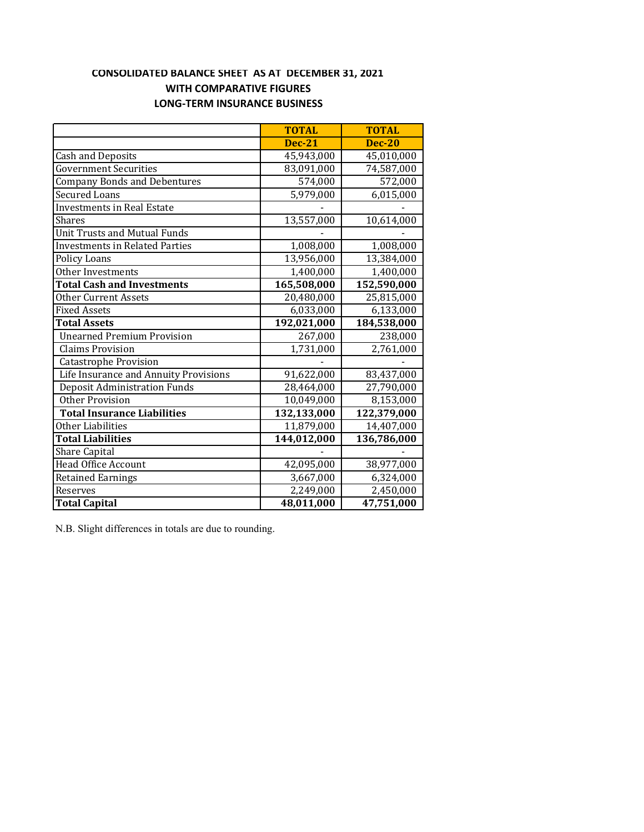# **CONSOLIDATED BALANCE SHEET AS AT DECEMBER 31, 2021 WITH COMPARATIVE FIGURES LONG‐TERM INSURANCE BUSINESS**

|                                       | <b>TOTAL</b>  | <b>TOTAL</b>  |
|---------------------------------------|---------------|---------------|
|                                       | <b>Dec-21</b> | <b>Dec-20</b> |
| <b>Cash and Deposits</b>              | 45,943,000    | 45,010,000    |
| <b>Government Securities</b>          | 83,091,000    | 74,587,000    |
| <b>Company Bonds and Debentures</b>   | 574,000       | 572,000       |
| <b>Secured Loans</b>                  | 5,979,000     | 6,015,000     |
| <b>Investments in Real Estate</b>     |               |               |
| Shares                                | 13,557,000    | 10,614,000    |
| <b>Unit Trusts and Mutual Funds</b>   |               |               |
| <b>Investments in Related Parties</b> | 1,008,000     | 1,008,000     |
| <b>Policy Loans</b>                   | 13,956,000    | 13,384,000    |
| Other Investments                     | 1,400,000     | 1,400,000     |
| <b>Total Cash and Investments</b>     | 165,508,000   | 152,590,000   |
| <b>Other Current Assets</b>           | 20,480,000    | 25,815,000    |
| <b>Fixed Assets</b>                   | 6,033,000     | 6,133,000     |
| <b>Total Assets</b>                   | 192,021,000   | 184,538,000   |
| <b>Unearned Premium Provision</b>     | 267,000       | 238,000       |
| <b>Claims Provision</b>               | 1,731,000     | 2,761,000     |
| <b>Catastrophe Provision</b>          |               |               |
| Life Insurance and Annuity Provisions | 91,622,000    | 83,437,000    |
| <b>Deposit Administration Funds</b>   | 28,464,000    | 27,790,000    |
| <b>Other Provision</b>                | 10,049,000    | 8,153,000     |
| <b>Total Insurance Liabilities</b>    | 132,133,000   | 122,379,000   |
| Other Liabilities                     | 11,879,000    | 14,407,000    |
| <b>Total Liabilities</b>              | 144,012,000   | 136,786,000   |
| <b>Share Capital</b>                  |               |               |
| <b>Head Office Account</b>            | 42,095,000    | 38,977,000    |
| <b>Retained Earnings</b>              | 3,667,000     | 6,324,000     |
| Reserves                              | 2,249,000     | 2,450,000     |
| <b>Total Capital</b>                  | 48,011,000    | 47,751,000    |

N.B. Slight differences in totals are due to rounding.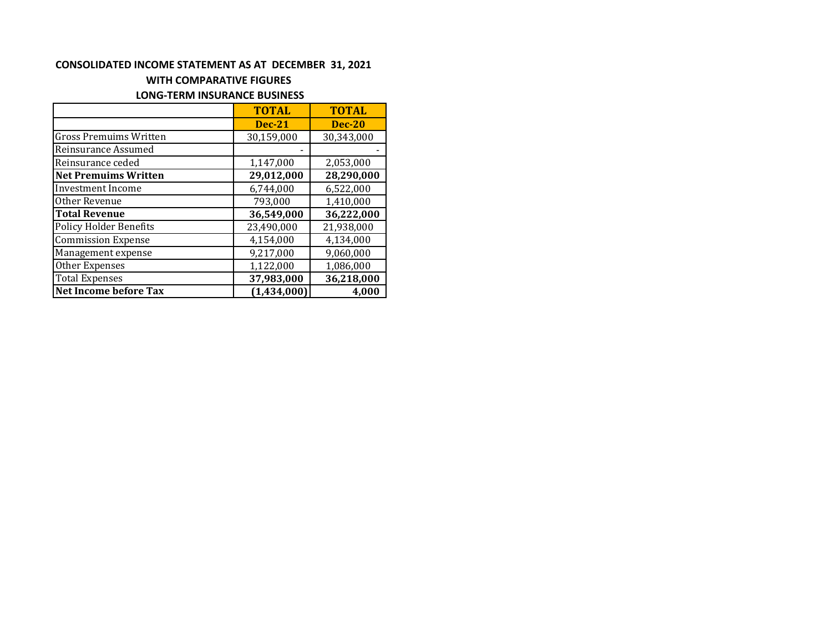#### **CONSOLIDATED INCOME STATEMENT AS AT DECEMBER 31, 2021**

## **WITH COMPARATIVE FIGURES**

# **LONG‐TERM INSURANCE BUSINESS**

|                               | <b>TOTAL</b>  | <b>TOTAL</b>  |
|-------------------------------|---------------|---------------|
|                               | <b>Dec-21</b> | <b>Dec-20</b> |
| <b>Gross Premuims Written</b> | 30,159,000    | 30,343,000    |
| Reinsurance Assumed           |               |               |
| Reinsurance ceded             | 1,147,000     | 2,053,000     |
| <b>Net Premuims Written</b>   | 29,012,000    | 28,290,000    |
| <b>Investment Income</b>      | 6,744,000     | 6,522,000     |
| Other Revenue                 | 793,000       | 1,410,000     |
| <b>Total Revenue</b>          | 36,549,000    | 36,222,000    |
| <b>Policy Holder Benefits</b> | 23,490,000    | 21,938,000    |
| <b>Commission Expense</b>     | 4,154,000     | 4,134,000     |
| Management expense            | 9,217,000     | 9,060,000     |
| Other Expenses                | 1,122,000     | 1,086,000     |
| <b>Total Expenses</b>         | 37,983,000    | 36,218,000    |
| <b>Net Income before Tax</b>  | (1,434,000)   | 4,000         |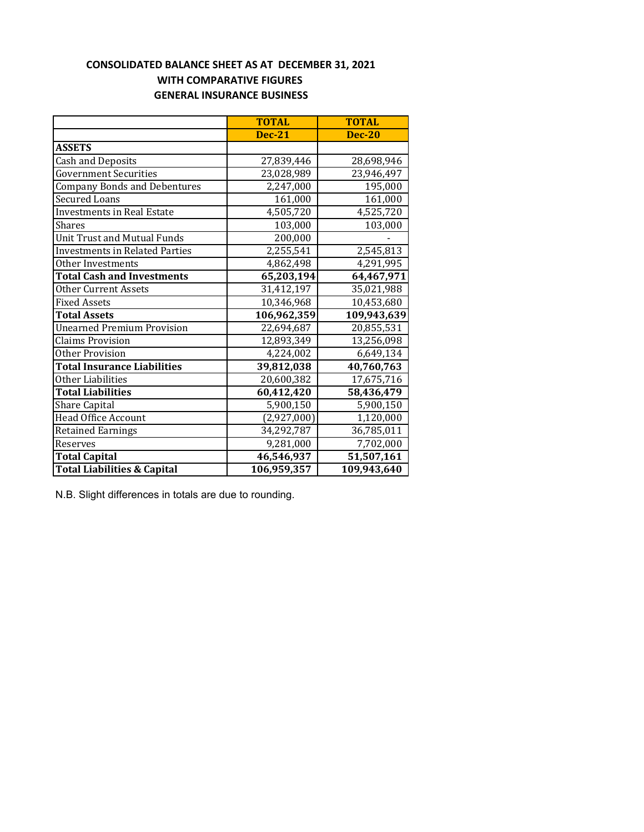# **WITH COMPARATIVE FIGURES GENERAL INSURANCE BUSINESS CONSOLIDATED BALANCE SHEET AS AT DECEMBER 31, 2021**

|                                        | <b>TOTAL</b>  | <b>TOTAL</b>  |
|----------------------------------------|---------------|---------------|
|                                        | <b>Dec-21</b> | <b>Dec-20</b> |
| <b>ASSETS</b>                          |               |               |
| <b>Cash and Deposits</b>               | 27,839,446    | 28,698,946    |
| <b>Government Securities</b>           | 23,028,989    | 23,946,497    |
| <b>Company Bonds and Debentures</b>    | 2,247,000     | 195,000       |
| <b>Secured Loans</b>                   | 161,000       | 161,000       |
| Investments in Real Estate             | 4,505,720     | 4,525,720     |
| Shares                                 | 103,000       | 103,000       |
| <b>Unit Trust and Mutual Funds</b>     | 200,000       |               |
| <b>Investments in Related Parties</b>  | 2,255,541     | 2,545,813     |
| Other Investments                      | 4,862,498     | 4,291,995     |
| <b>Total Cash and Investments</b>      | 65,203,194    | 64,467,971    |
| Other Current Assets                   | 31,412,197    | 35,021,988    |
| <b>Fixed Assets</b>                    | 10,346,968    | 10,453,680    |
| <b>Total Assets</b>                    | 106,962,359   | 109,943,639   |
| <b>Unearned Premium Provision</b>      | 22,694,687    | 20,855,531    |
| <b>Claims Provision</b>                | 12,893,349    | 13,256,098    |
| Other Provision                        | 4,224,002     | 6,649,134     |
| <b>Total Insurance Liabilities</b>     | 39,812,038    | 40,760,763    |
| Other Liabilities                      | 20,600,382    | 17,675,716    |
| <b>Total Liabilities</b>               | 60,412,420    | 58,436,479    |
| <b>Share Capital</b>                   | 5,900,150     | 5,900,150     |
| <b>Head Office Account</b>             | (2,927,000)   | 1,120,000     |
| <b>Retained Earnings</b>               | 34,292,787    | 36,785,011    |
| Reserves                               | 9,281,000     | 7,702,000     |
| <b>Total Capital</b>                   | 46,546,937    | 51,507,161    |
| <b>Total Liabilities &amp; Capital</b> | 106,959,357   | 109,943,640   |

N.B. Slight differences in totals are due to rounding.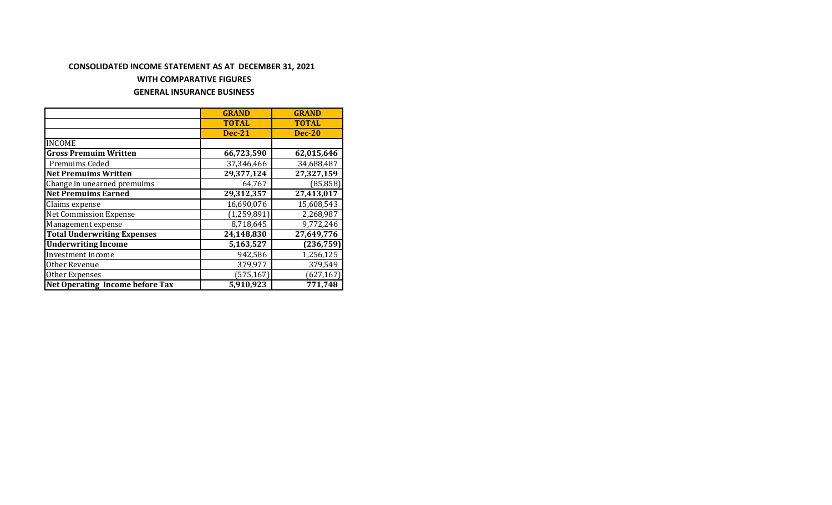# **CONSOLIDATED INCOME STATEMENT AS AT DECEMBER 31, 2021**

#### **WITH COMPARATIVE FIGURES**

### **GENERAL INSURANCE BUSINESS**

|                                        | <b>GRAND</b>  | <b>GRAND</b>  |
|----------------------------------------|---------------|---------------|
|                                        | <b>TOTAL</b>  | <b>TOTAL</b>  |
|                                        | <b>Dec-21</b> | <b>Dec-20</b> |
| <b>INCOME</b>                          |               |               |
| <b>Gross Premuim Written</b>           | 66,723,590    | 62,015,646    |
| Premuims Ceded                         | 37,346,466    | 34,688,487    |
| <b>Net Premuims Written</b>            | 29,377,124    | 27,327,159    |
| Change in unearned premuims            | 64,767        | (85, 858)     |
| <b>Net Premuims Earned</b>             | 29,312,357    | 27,413,017    |
| Claims expense                         | 16,690,076    | 15,608,543    |
| <b>Net Commission Expense</b>          | (1, 259, 891) | 2,268,987     |
| Management expense                     | 8,718,645     | 9,772,246     |
| <b>Total Underwriting Expenses</b>     | 24,148,830    | 27,649,776    |
| <b>Underwriting Income</b>             | 5,163,527     | (236, 759)    |
| <b>Investment Income</b>               | 942,586       | 1,256,125     |
| Other Revenue                          | 379,977       | 379,549       |
| Other Expenses                         | (575, 167)    | (627, 167)    |
| <b>Net Operating Income before Tax</b> | 5,910,923     | 771,748       |